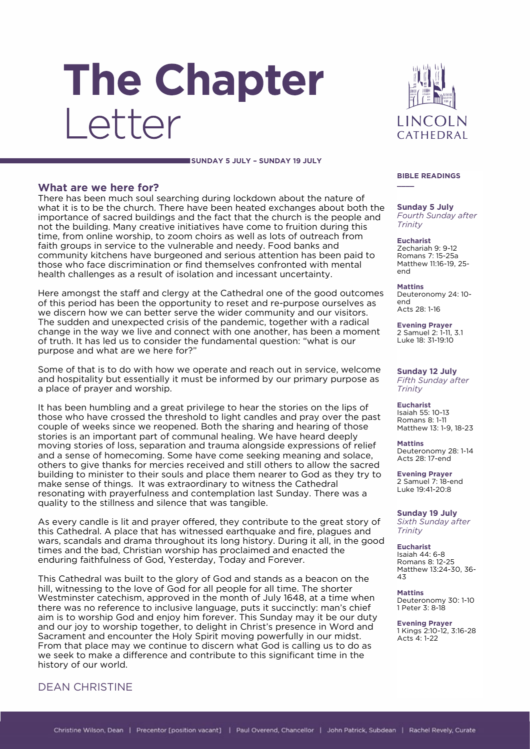# The Chapter Letter



#### **SUNDAY 5 JULY – SUNDAY 19 JULY**

### **What are we here for?**

There has been much soul searching during lockdown about the nature of what it is to be the church. There have been heated exchanges about both the importance of sacred buildings and the fact that the church is the people and not the building. Many creative initiatives have come to fruition during this time, from online worship, to zoom choirs as well as lots of outreach from faith groups in service to the vulnerable and needy. Food banks and community kitchens have burgeoned and serious attention has been paid to those who face discrimination or find themselves confronted with mental health challenges as a result of isolation and incessant uncertainty.

Here amongst the staff and clergy at the Cathedral one of the good outcomes of this period has been the opportunity to reset and re-purpose ourselves as we discern how we can better serve the wider community and our visitors. The sudden and unexpected crisis of the pandemic, together with a radical change in the way we live and connect with one another, has been a moment of truth. It has led us to consider the fundamental question: "what is our purpose and what are we here for?"

Some of that is to do with how we operate and reach out in service, welcome and hospitality but essentially it must be informed by our primary purpose as a place of prayer and worship.

It has been humbling and a great privilege to hear the stories on the lips of those who have crossed the threshold to light candles and pray over the past couple of weeks since we reopened. Both the sharing and hearing of those stories is an important part of communal healing. We have heard deeply moving stories of loss, separation and trauma alongside expressions of relief and a sense of homecoming. Some have come seeking meaning and solace, others to give thanks for mercies received and still others to allow the sacred building to minister to their souls and place them nearer to God as they try to make sense of things. It was extraordinary to witness the Cathedral resonating with prayerfulness and contemplation last Sunday. There was a quality to the stillness and silence that was tangible.

As every candle is lit and prayer offered, they contribute to the great story of this Cathedral. A place that has witnessed earthquake and fire, plagues and wars, scandals and drama throughout its long history. During it all, in the good times and the bad, Christian worship has proclaimed and enacted the enduring faithfulness of God, Yesterday, Today and Forever.

This Cathedral was built to the glory of God and stands as a beacon on the hill, witnessing to the love of God for all people for all time. The shorter Westminster catechism, approved in the month of July 1648, at a time when there was no reference to inclusive language, puts it succinctly: man's chief aim is to worship God and enjoy him forever. This Sunday may it be our duty and our joy to worship together, to delight in Christ's presence in Word and Sacrament and encounter the Holy Spirit moving powerfully in our midst. From that place may we continue to discern what God is calling us to do as we seek to make a difference and contribute to this significant time in the history of our world.

## DEAN CHRISTINE

#### **BIBLE READINGS \_\_\_\_**

**Sunday 5 July** *Fourth Sunday after Trinity*

**Eucharist** Zechariah 9: 9-12 Romans 7: 15-25a Matthew 11:16-19, 25 end

**Mattins** Deuteronomy 24: 10 end Acts 28: 1-16

**Evening Prayer** 2 Samuel 2: 1-11, 3.1 Luke 18: 31-19:10

**Sunday 12 July** *Fifth Sunday after Trinity*

**Eucharist** Isaiah 55: 10-13 Romans 8: 1-11 Matthew 13: 1-9, 18-23

**Mattins** Deuteronomy 28: 1-14 Acts 28: 17-end

**Evening Prayer** 2 Samuel 7: 18-end Luke 19:41-20:8

**Sunday 19 July** *Sixth Sunday after Trinity*

**Eucharist** Isaiah 44: 6-8 Romans 8: 12-25 Matthew 13:24-30, 36- 43

**Mattins** Deuteronomy 30: 1-10 1 Peter 3: 8-18

**Evening Prayer** 1 Kings 2:10-12, 3:16-28 Acts  $4:1-22$